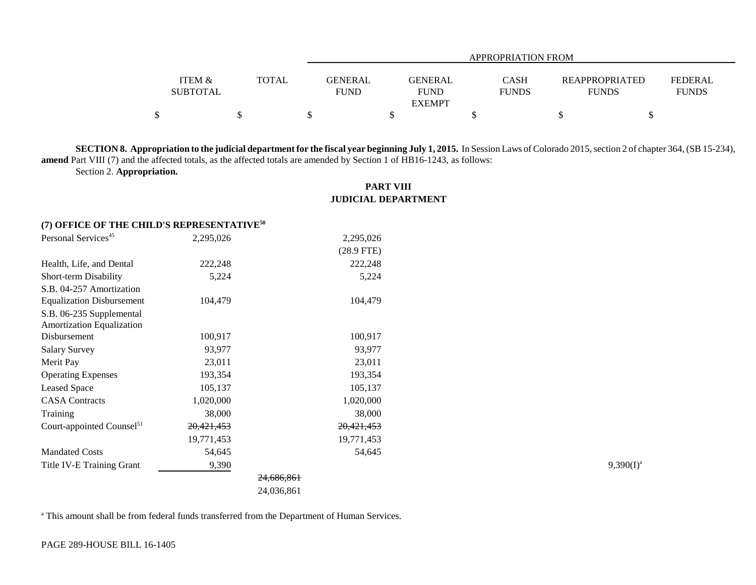|                   |              | APPROPRIATION FROM         |              |  |                              |                |  |  |
|-------------------|--------------|----------------------------|--------------|--|------------------------------|----------------|--|--|
| <b>ITEM &amp;</b> | <b>TOTAL</b> | GENERAL<br>GENERAL         | <b>CASH</b>  |  | <b>REAPPROPRIATED</b>        | <b>FEDERAL</b> |  |  |
| <b>SUBTOTAL</b>   |              | <b>FUND</b><br><b>FUND</b> | <b>FUNDS</b> |  | <b>FUNDS</b><br><b>FUNDS</b> |                |  |  |
|                   |              | <b>EXEMPT</b>              |              |  |                              |                |  |  |
|                   |              |                            |              |  |                              |                |  |  |

**SECTION 8. Appropriation to the judicial department for the fiscal year beginning July 1, 2015.** In Session Laws of Colorado 2015, section 2 of chapter 364, (SB 15-234), **amend** Part VIII (7) and the affected totals, as the affected totals are amended by Section 1 of HB16-1243, as follows:

Section 2. **Appropriation.**

## **PART VIII JUDICIAL DEPARTMENT**

## **(7) OFFICE OF THE CHILD'S REPRESENTATIVE<sup>50</sup>**

| Personal Services <sup>45</sup>       | 2,295,026  |            | 2,295,026    |              |
|---------------------------------------|------------|------------|--------------|--------------|
|                                       |            |            | $(28.9$ FTE) |              |
| Health, Life, and Dental              | 222,248    |            | 222,248      |              |
| Short-term Disability                 | 5,224      |            | 5,224        |              |
| S.B. 04-257 Amortization              |            |            |              |              |
| <b>Equalization Disbursement</b>      | 104,479    |            | 104,479      |              |
| S.B. 06-235 Supplemental              |            |            |              |              |
| <b>Amortization Equalization</b>      |            |            |              |              |
| Disbursement                          | 100,917    |            | 100,917      |              |
| <b>Salary Survey</b>                  | 93,977     |            | 93,977       |              |
| Merit Pay                             | 23,011     |            | 23,011       |              |
| <b>Operating Expenses</b>             | 193,354    |            | 193,354      |              |
| <b>Leased Space</b>                   | 105,137    |            | 105,137      |              |
| <b>CASA Contracts</b>                 | 1,020,000  |            | 1,020,000    |              |
| Training                              | 38,000     |            | 38,000       |              |
| Court-appointed Counsel <sup>51</sup> | 20,421,453 |            | 20,421,453   |              |
|                                       | 19,771,453 |            | 19,771,453   |              |
| <b>Mandated Costs</b>                 | 54,645     |            | 54,645       |              |
| Title IV-E Training Grant             | 9,390      |            |              | $9,390(I)^3$ |
|                                       |            | 24.686.861 |              |              |

24,036,861

<sup>a</sup> This amount shall be from federal funds transferred from the Department of Human Services.